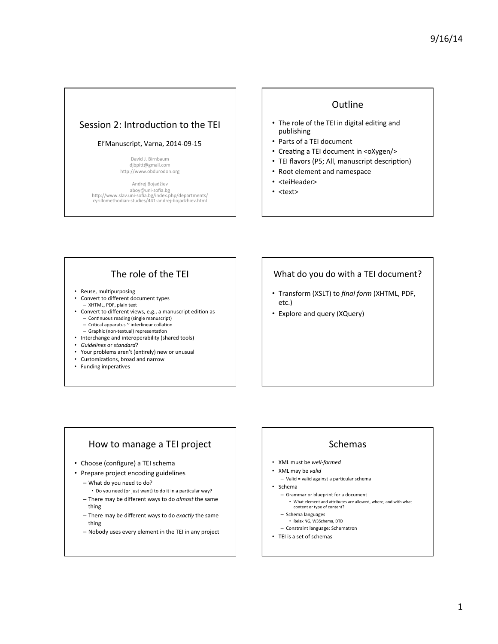### Session 2: Introduction to the TEI

#### El'Manuscript, Varna, 2014-09-15

David J. Birnbaum djbpitt@gmail.com http://www.obdurodon.org

Andrej Bojadžiev aboy@uni-sofia.bg<br>http://www.slav.uni-sofia.bg/index.php/departments/ cyrillomethodian-studies/441-andrej-bojadzhiev.html 

#### **Outline**

- The role of the TEI in digital editing and publishing
- Parts of a TEI document
- Creating a TEI document in <oXygen/>
- TEI flavors (P5; All, manuscript description)
- Root element and namespace
- <teiHeader>
- <text>

# The role of the TEI

- Reuse, multipurposing
- Convert to different document types - XHTML, PDF, plain text
- Convert to different views, e.g., a manuscript edition as − Continuous reading (single manuscript)<br>− Critical apparatus ~ interlinear collation
	- Graphic (non-textual) representa5on
- Interchange and interoperability (shared tools)
- *Guidelines* or *standard*?
- Your problems aren't (entirely) new or unusual
- Customizations, broad and narrow
- Funding imperatives

#### What do you do with a TEI document?

- Transform (XSLT) to final form (XHTML, PDF, etc.)
- Explore and query (XQuery)

# How to manage a TEI project

- Choose (configure) a TEI schema
- Prepare project encoding guidelines
	- What do you need to do?
	- Do you need (or just want) to do it in a particular way?
	- There may be different ways to do *almost* the same thing
	- There may be different ways to do *exactly* the same thing
	- Nobody uses every element in the TEI in any project

## Schemas

- XML must be *well-formed*
- XML may be *valid*
- Valid = valid against a particular schema
- Schema
	- Grammar or blueprint for a document • What element and attributes are allowed, where, and with what content or type of content?
	- Schema languages
	- Relax NG, W3Schema, DTD
	- Constraint language: Schematron
- TEI is a set of schemas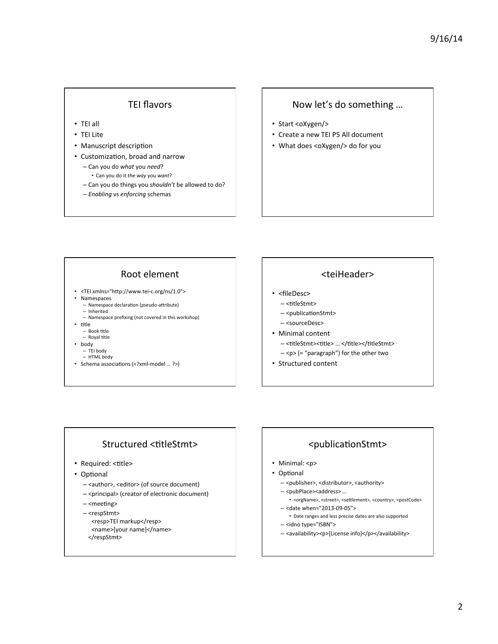### **TEI flavors**

- TEI all
- TEI Lite
- Manuscript description
- Customization, broad and narrow
	- Can you do *what* you *need*?
		- Can you do it *the way* you *want*?
	- Can you do things you *shouldn't* be allowed to do?
	- *Enabling* vs *enforcing* schemas

#### Now let's do something ...

- Start <oXygen/>
- Create a new TEI P5 All document
- What does <oXygen/> do for you

### Root element

- <TEI xmlns="http://www.tei-c.org/ns/1.0">
- Namespaces
	- Namespace declaration (pseudo-attribute) – Inherited
	- Namespace prefixing (not covered in this workshop)
- title
- $-$  Book title
- Royal title
- body
	- TEI body – HTML body
	-
- Schema associations (<?xml-model ... ?>)

#### <teiHeader>

- <fileDesc>
- <titleStmt>
- <publicationStmt>
- <sourceDesc>
- Minimal content
	- <titleStmt><title> ... </title></titleStmt>
	- $-\langle p\rangle$  (= "paragraph") for the other two
- Structured content

#### Structured <titleStmt>

- Required: <title>
- Optional
	- <author>, <editor> (of source document)
	- <principal> (creator of electronic document)
	- <meeting>
	- <respStmt>
	- <resp>TEI markup</resp> <name>[your name]</name>
	- </respStmt>

#### <publicationStmt>

- Minimal: <p>
- Optional
	- <publisher>, <distributor>, <authority>
	- <pubPlace><address> …
	- <orgName>, <street>, <settlement>, <country>, <postCode>
	- < date when="2013-09-05"> • Date ranges and less precise dates are also supported
	- <idno type="ISBN">
	- <availability><p>[License info]</p></availability>